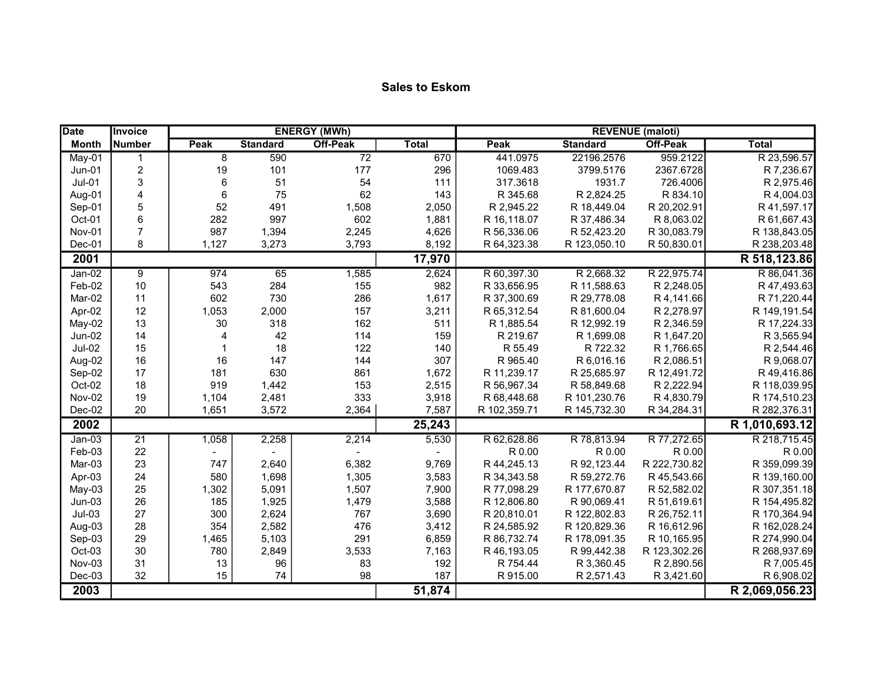| <b>Date</b>   | Invoice         |                        |                 | <b>ENERGY (MWh)</b> |              |              |                 | <b>REVENUE</b> (maloti) |                |
|---------------|-----------------|------------------------|-----------------|---------------------|--------------|--------------|-----------------|-------------------------|----------------|
| <b>Month</b>  | Number          | Peak                   | <b>Standard</b> | <b>Off-Peak</b>     | <b>Total</b> | Peak         | <b>Standard</b> | <b>Off-Peak</b>         | <b>Total</b>   |
| $May-01$      |                 | 8                      | 590             | $\overline{72}$     | 670          | 441.0975     | 22196.2576      | 959.2122                | R 23,596.57    |
| Jun-01        | $\overline{c}$  | 19                     | 101             | 177                 | 296          | 1069.483     | 3799.5176       | 2367.6728               | R 7,236.67     |
| $Jul-01$      | 3               | $6\phantom{1}6$        | 51              | 54                  | 111          | 317.3618     | 1931.7          | 726.4006                | R 2,975.46     |
| Aug-01        | 4               | $\,6$                  | 75              | 62                  | 143          | R 345.68     | R 2,824.25      | R 834.10                | R 4,004.03     |
| Sep-01        | 5               | 52                     | 491             | 1,508               | 2,050        | R 2,945.22   | R 18,449.04     | R 20,202.91             | R 41,597.17    |
| Oct-01        | 6               | 282                    | 997             | 602                 | 1,881        | R 16,118.07  | R 37,486.34     | R 8,063.02              | R 61,667.43    |
| Nov-01        | $\overline{7}$  | 987                    | 1,394           | 2,245               | 4,626        | R 56,336.06  | R 52,423.20     | R 30,083.79             | R 138,843.05   |
| $Dec-01$      | 8               | 1,127                  | 3,273           | 3,793               | 8,192        | R 64,323.38  | R 123,050.10    | R 50,830.01             | R 238,203.48   |
| 2001          |                 |                        |                 |                     | 17,970       |              |                 |                         | R 518,123.86   |
| $Jan-02$      | 9               | 974                    | 65              | 1,585               | 2,624        | R 60,397.30  | R 2,668.32      | R 22,975.74             | R 86,041.36    |
| Feb-02        | 10              | 543                    | 284             | 155                 | 982          | R 33,656.95  | R 11,588.63     | R 2,248.05              | R 47,493.63    |
| Mar-02        | 11              | 602                    | 730             | 286                 | 1,617        | R 37,300.69  | R 29,778.08     | R 4,141.66              | R 71,220.44    |
| Apr-02        | 12              | 1,053                  | 2,000           | 157                 | 3,211        | R 65,312.54  | R 81,600.04     | R 2,278.97              | R 149,191.54   |
| May-02        | 13              | 30                     | 318             | 162                 | 511          | R 1,885.54   | R 12,992.19     | R 2,346.59              | R 17,224.33    |
| Jun-02        | 14              | $\boldsymbol{\Lambda}$ | 42              | 114                 | 159          | R 219.67     | R 1,699.08      | R 1,647.20              | R 3,565.94     |
| <b>Jul-02</b> | 15              |                        | 18              | 122                 | 140          | R 55.49      | R 722.32        | R 1,766.65              | R 2,544.46     |
| Aug-02        | 16              | 16                     | 147             | 144                 | 307          | R 965.40     | R 6,016.16      | R 2,086.51              | R 9,068.07     |
| Sep-02        | 17              | 181                    | 630             | 861                 | 1,672        | R 11,239.17  | R 25,685.97     | R 12,491.72             | R 49,416.86    |
| Oct-02        | 18              | 919                    | 1,442           | 153                 | 2,515        | R 56,967.34  | R 58,849.68     | R 2,222.94              | R 118,039.95   |
| <b>Nov-02</b> | 19              | 1,104                  | 2,481           | 333                 | 3,918        | R 68,448.68  | R 101,230.76    | R 4,830.79              | R 174,510.23   |
| $Dec-02$      | 20              | 1,651                  | 3,572           | 2,364               | 7,587        | R 102,359.71 | R 145,732.30    | R 34,284.31             | R 282,376.31   |
| 2002          |                 |                        |                 |                     | 25,243       |              |                 |                         | R 1,010,693.12 |
| $Jan-03$      | $\overline{21}$ | 1,058                  | 2,258           | 2,214               | 5,530        | R 62,628.86  | R 78,813.94     | R 77,272.65             | R 218,715.45   |
| Feb-03        | 22              |                        |                 |                     |              | R 0.00       | R 0.00          | R 0.00                  | R 0.00         |
| Mar-03        | 23              | 747                    | 2,640           | 6,382               | 9,769        | R 44,245.13  | R 92,123.44     | R 222,730.82            | R 359,099.39   |
| Apr-03        | 24              | 580                    | 1,698           | 1,305               | 3,583        | R 34, 343.58 | R 59,272.76     | R 45,543.66             | R 139,160.00   |
| May-03        | 25              | 1,302                  | 5,091           | 1,507               | 7,900        | R 77,098.29  | R 177,670.87    | R 52,582.02             | R 307,351.18   |
| $Jun-03$      | 26              | 185                    | 1,925           | 1,479               | 3,588        | R 12,806.80  | R 90,069.41     | R 51,619.61             | R 154,495.82   |
| $Jul-03$      | 27              | 300                    | 2,624           | 767                 | 3,690        | R 20,810.01  | R 122,802.83    | R 26,752.11             | R 170,364.94   |
| Aug-03        | 28              | 354                    | 2,582           | 476                 | 3,412        | R 24,585.92  | R 120,829.36    | R 16,612.96             | R 162,028.24   |
| Sep-03        | 29              | 1,465                  | 5,103           | 291                 | 6,859        | R 86,732.74  | R 178,091.35    | R 10,165.95             | R 274,990.04   |
| Oct-03        | 30              | 780                    | 2,849           | 3,533               | 7,163        | R 46,193.05  | R 99,442.38     | R 123,302.26            | R 268,937.69   |
| Nov-03        | 31              | 13                     | 96              | 83                  | 192          | R 754.44     | R 3,360.45      | R 2,890.56              | R 7,005.45     |
| Dec-03        | 32              | 15                     | 74              | 98                  | 187          | R 915.00     | R 2,571.43      | R 3,421.60              | R 6,908.02     |
| 2003          |                 |                        |                 |                     | 51,874       |              |                 |                         | R 2,069,056.23 |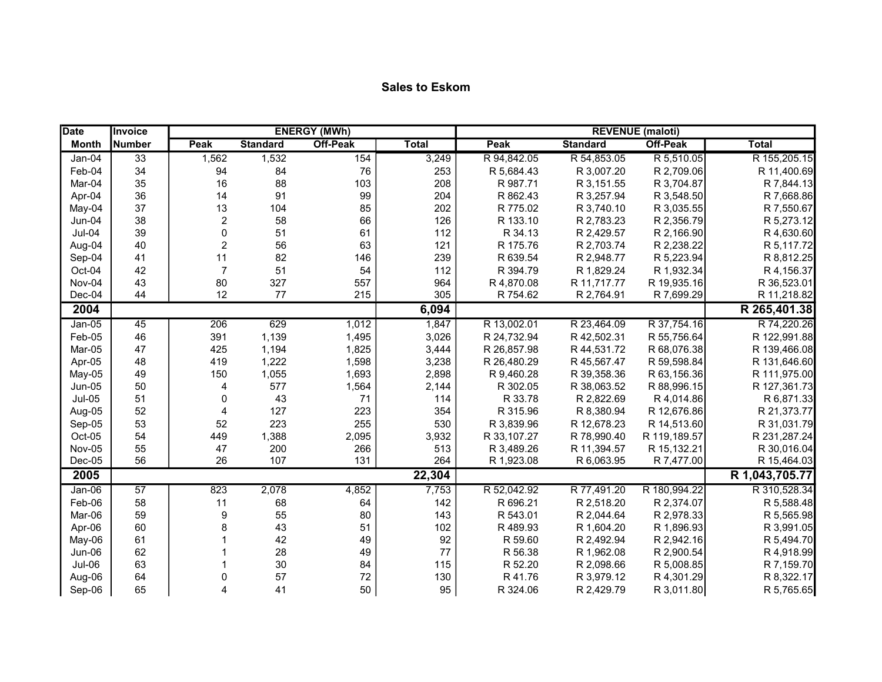| <b>Date</b>   | <b>Invoice</b> |                |                 | <b>ENERGY (MWh)</b> |              |             |                 | <b>REVENUE</b> (maloti) |                |
|---------------|----------------|----------------|-----------------|---------------------|--------------|-------------|-----------------|-------------------------|----------------|
| <b>Month</b>  | Number         | Peak           | <b>Standard</b> | <b>Off-Peak</b>     | <b>Total</b> | Peak        | <b>Standard</b> | <b>Off-Peak</b>         | <b>Total</b>   |
| Jan-04        | 33             | 1,562          | 1,532           | 154                 | 3,249        | R 94,842.05 | R 54,853.05     | R 5,510.05              | R 155,205.15   |
| Feb-04        | 34             | 94             | 84              | 76                  | 253          | R 5,684.43  | R 3,007.20      | R 2,709.06              | R 11,400.69    |
| Mar-04        | 35             | 16             | 88              | 103                 | 208          | R 987.71    | R 3,151.55      | R 3,704.87              | R 7,844.13     |
| Apr-04        | 36             | 14             | 91              | 99                  | 204          | R 862.43    | R 3,257.94      | R 3,548.50              | R 7,668.86     |
| May-04        | 37             | 13             | 104             | 85                  | 202          | R 775.02    | R 3,740.10      | R 3,035.55              | R 7,550.67     |
| Jun-04        | 38             | $\overline{c}$ | 58              | 66                  | 126          | R 133.10    | R 2,783.23      | R 2,356.79              | R 5,273.12     |
| $Jul-04$      | 39             | $\mathbf 0$    | 51              | 61                  | 112          | R 34.13     | R 2,429.57      | R 2,166.90              | R 4,630.60     |
| Aug-04        | 40             | $\overline{c}$ | 56              | 63                  | 121          | R 175.76    | R 2,703.74      | R 2,238.22              | R 5,117.72     |
| Sep-04        | 41             | 11             | 82              | 146                 | 239          | R 639.54    | R 2,948.77      | R 5,223.94              | R 8,812.25     |
| Oct-04        | 42             | $\overline{7}$ | 51              | 54                  | 112          | R 394.79    | R 1,829.24      | R 1,932.34              | R 4,156.37     |
| Nov-04        | 43             | 80             | 327             | 557                 | 964          | R 4,870.08  | R 11,717.77     | R 19,935.16             | R 36,523.01    |
| Dec-04        | 44             | 12             | 77              | 215                 | 305          | R 754.62    | R 2,764.91      | R 7,699.29              | R 11,218.82    |
| 2004          |                |                |                 |                     | 6,094        |             |                 |                         | R 265,401.38   |
| $Jan-05$      | 45             | 206            | 629             | 1,012               | 1,847        | R 13,002.01 | R 23,464.09     | R 37,754.16             | R 74,220.26    |
| Feb-05        | 46             | 391            | 1,139           | 1,495               | 3,026        | R 24,732.94 | R 42,502.31     | R 55,756.64             | R 122,991.88   |
| Mar-05        | 47             | 425            | 1,194           | 1,825               | 3,444        | R 26,857.98 | R 44,531.72     | R 68,076.38             | R 139,466.08   |
| Apr-05        | 48             | 419            | 1,222           | 1,598               | 3,238        | R 26,480.29 | R 45,567.47     | R 59,598.84             | R 131,646.60   |
| May-05        | 49             | 150            | 1,055           | 1,693               | 2,898        | R 9,460.28  | R 39,358.36     | R 63,156.36             | R 111,975.00   |
| Jun-05        | 50             | 4              | 577             | 1,564               | 2,144        | R 302.05    | R 38,063.52     | R 88,996.15             | R 127,361.73   |
| <b>Jul-05</b> | 51             | 0              | 43              | 71                  | 114          | R 33.78     | R 2,822.69      | R 4,014.86              | R 6,871.33     |
| Aug-05        | 52             | 4              | 127             | 223                 | 354          | R 315.96    | R 8,380.94      | R 12,676.86             | R 21,373.77    |
| Sep-05        | 53             | 52             | 223             | 255                 | 530          | R 3,839.96  | R 12,678.23     | R 14,513.60             | R 31,031.79    |
| Oct-05        | 54             | 449            | 1,388           | 2,095               | 3,932        | R 33,107.27 | R 78,990.40     | R 119,189.57            | R 231,287.24   |
| Nov-05        | 55             | 47             | 200             | 266                 | 513          | R 3,489.26  | R 11,394.57     | R 15,132.21             | R 30,016.04    |
| $Dec-05$      | 56             | 26             | 107             | 131                 | 264          | R 1,923.08  | R 6,063.95      | R 7,477.00              | R 15,464.03    |
| 2005          |                |                |                 |                     | 22,304       |             |                 |                         | R 1,043,705.77 |
| $Jan-06$      | 57             | 823            | 2,078           | 4,852               | 7,753        | R 52,042.92 | R 77,491.20     | R 180,994.22            | R 310,528.34   |
| Feb-06        | 58             | 11             | 68              | 64                  | 142          | R 696.21    | R 2,518.20      | R 2,374.07              | R 5,588.48     |
| Mar-06        | 59             | 9              | 55              | 80                  | 143          | R 543.01    | R 2,044.64      | R 2,978.33              | R 5,565.98     |
| Apr-06        | 60             | 8              | 43              | 51                  | 102          | R 489.93    | R 1,604.20      | R 1,896.93              | R 3,991.05     |
| May-06        | 61             |                | 42              | 49                  | 92           | R 59.60     | R 2,492.94      | R 2,942.16              | R 5,494.70     |
| Jun-06        | 62             |                | 28              | 49                  | 77           | R 56.38     | R 1,962.08      | R 2,900.54              | R 4,918.99     |
| <b>Jul-06</b> | 63             |                | 30              | 84                  | 115          | R 52.20     | R 2,098.66      | R 5,008.85              | R 7,159.70     |
| Aug-06        | 64             | 0              | 57              | 72                  | 130          | R 41.76     | R 3,979.12      | R 4,301.29              | R 8,322.17     |
| Sep-06        | 65             | 4              | 41              | 50                  | 95           | R 324.06    | R 2,429.79      | R 3,011.80              | R 5,765.65     |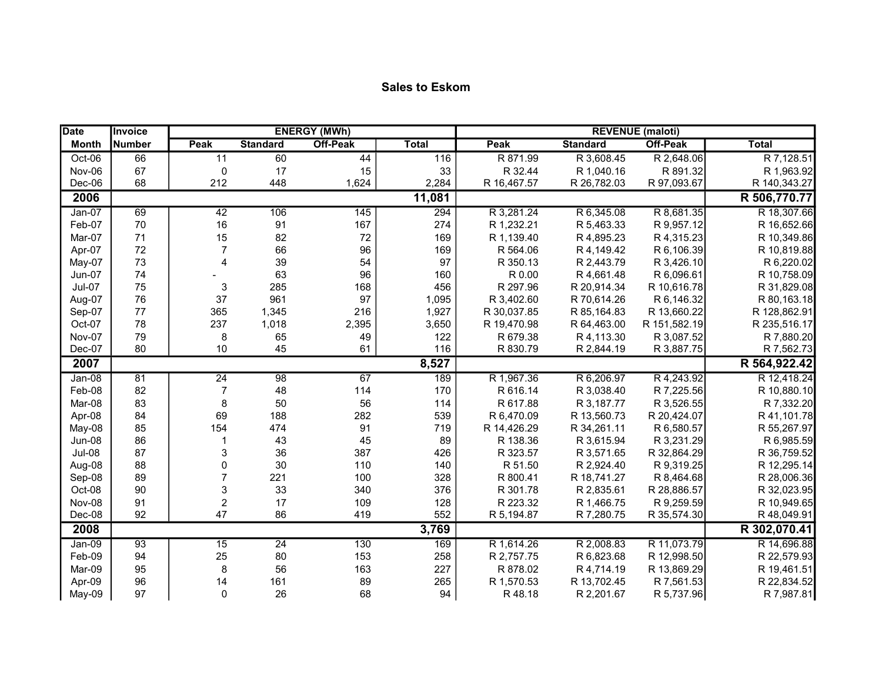| <b>Date</b>   | <b>Invoice</b> |                         |                 | <b>ENERGY (MWh)</b> |              |             |                 | <b>REVENUE</b> (maloti) |              |
|---------------|----------------|-------------------------|-----------------|---------------------|--------------|-------------|-----------------|-------------------------|--------------|
| <b>Month</b>  | <b>Number</b>  | Peak                    | <b>Standard</b> | <b>Off-Peak</b>     | <b>Total</b> | Peak        | <b>Standard</b> | <b>Off-Peak</b>         | <b>Total</b> |
| Oct-06        | 66             | 11                      | 60              | 44                  | 116          | R 871.99    | R 3,608.45      | R 2,648.06              | R 7,128.51   |
| Nov-06        | 67             | $\mathbf 0$             | 17              | 15                  | 33           | R 32.44     | R 1,040.16      | R 891.32                | R 1,963.92   |
| Dec-06        | 68             | 212                     | 448             | 1,624               | 2,284        | R 16,467.57 | R 26,782.03     | R 97,093.67             | R 140,343.27 |
| 2006          |                |                         |                 |                     | 11,081       |             |                 |                         | R 506,770.77 |
| $Jan-07$      | 69             | 42                      | 106             | 145                 | 294          | R 3,281.24  | R 6,345.08      | R 8,681.35              | R 18,307.66  |
| Feb-07        | 70             | 16                      | 91              | 167                 | 274          | R 1,232.21  | R 5,463.33      | R 9,957.12              | R 16,652.66  |
| Mar-07        | 71             | 15                      | 82              | 72                  | 169          | R 1,139.40  | R 4,895.23      | R 4,315.23              | R 10,349.86  |
| Apr-07        | 72             | $\overline{7}$          | 66              | 96                  | 169          | R 564.06    | R 4,149.42      | R 6,106.39              | R 10,819.88  |
| May-07        | 73             | 4                       | 39              | 54                  | 97           | R 350.13    | R 2,443.79      | R 3,426.10              | R 6,220.02   |
| Jun-07        | 74             |                         | 63              | 96                  | 160          | R 0.00      | R 4,661.48      | R 6,096.61              | R 10,758.09  |
| Jul-07        | 75             | 3                       | 285             | 168                 | 456          | R 297.96    | R 20,914.34     | R 10,616.78             | R 31,829.08  |
| Aug-07        | 76             | 37                      | 961             | 97                  | 1,095        | R 3,402.60  | R 70,614.26     | R 6,146.32              | R 80,163.18  |
| Sep-07        | 77             | 365                     | 1,345           | 216                 | 1,927        | R 30,037.85 | R 85,164.83     | R 13,660.22             | R 128,862.91 |
| Oct-07        | 78             | 237                     | 1,018           | 2,395               | 3,650        | R 19,470.98 | R 64,463.00     | R 151,582.19            | R 235,516.17 |
| Nov-07        | 79             | 8                       | 65              | 49                  | 122          | R 679.38    | R 4,113.30      | R 3,087.52              | R 7,880.20   |
| Dec-07        | 80             | 10                      | 45              | 61                  | 116          | R 830.79    | R 2,844.19      | R 3,887.75              | R 7,562.73   |
| 2007          |                |                         |                 |                     | 8,527        |             |                 |                         | R 564,922.42 |
| $Jan-08$      | 81             | $\overline{24}$         | $\overline{98}$ | 67                  | 189          | R 1,967.36  | R 6,206.97      | R 4,243.92              | R 12,418.24  |
| Feb-08        | 82             | $\overline{7}$          | 48              | 114                 | 170          | R 616.14    | R 3,038.40      | R 7,225.56              | R 10,880.10  |
| Mar-08        | 83             | 8                       | 50              | 56                  | 114          | R 617.88    | R 3,187.77      | R 3,526.55              | R 7,332.20   |
| Apr-08        | 84             | 69                      | 188             | 282                 | 539          | R 6,470.09  | R 13,560.73     | R 20,424.07             | R 41,101.78  |
| May-08        | 85             | 154                     | 474             | 91                  | 719          | R 14,426.29 | R 34,261.11     | R 6,580.57              | R 55,267.97  |
| Jun-08        | 86             |                         | 43              | 45                  | 89           | R 138.36    | R 3,615.94      | R 3,231.29              | R 6,985.59   |
| <b>Jul-08</b> | 87             | 3                       | 36              | 387                 | 426          | R 323.57    | R 3,571.65      | R 32,864.29             | R 36,759.52  |
| Aug-08        | 88             | 0                       | 30              | 110                 | 140          | R 51.50     | R 2,924.40      | R 9,319.25              | R 12,295.14  |
| Sep-08        | 89             | $\overline{7}$          | 221             | 100                 | 328          | R 800.41    | R 18,741.27     | R 8,464.68              | R 28,006.36  |
| Oct-08        | 90             | 3                       | 33              | 340                 | 376          | R 301.78    | R 2,835.61      | R 28,886.57             | R 32,023.95  |
| Nov-08        | 91             | $\overline{\mathbf{c}}$ | 17              | 109                 | 128          | R 223.32    | R 1,466.75      | R 9,259.59              | R 10,949.65  |
| Dec-08        | 92             | 47                      | 86              | 419                 | 552          | R 5,194.87  | R 7,280.75      | R 35,574.30             | R 48,049.91  |
| 2008          |                |                         |                 |                     | 3,769        |             |                 |                         | R 302,070.41 |
| $Jan-09$      | 93             | 15                      | $\overline{24}$ | 130                 | 169          | R 1,614.26  | R 2,008.83      | R 11,073.79             | R 14,696.88  |
| Feb-09        | 94             | 25                      | 80              | 153                 | 258          | R 2,757.75  | R 6,823.68      | R 12,998.50             | R 22,579.93  |
| Mar-09        | 95             | 8                       | 56              | 163                 | 227          | R 878.02    | R 4,714.19      | R 13,869.29             | R 19,461.51  |
| Apr-09        | 96             | 14                      | 161             | 89                  | 265          | R 1,570.53  | R 13,702.45     | R 7,561.53              | R 22,834.52  |
| May-09        | 97             | 0                       | 26              | 68                  | 94           | R48.18      | R 2,201.67      | R 5,737.96              | R 7,987.81   |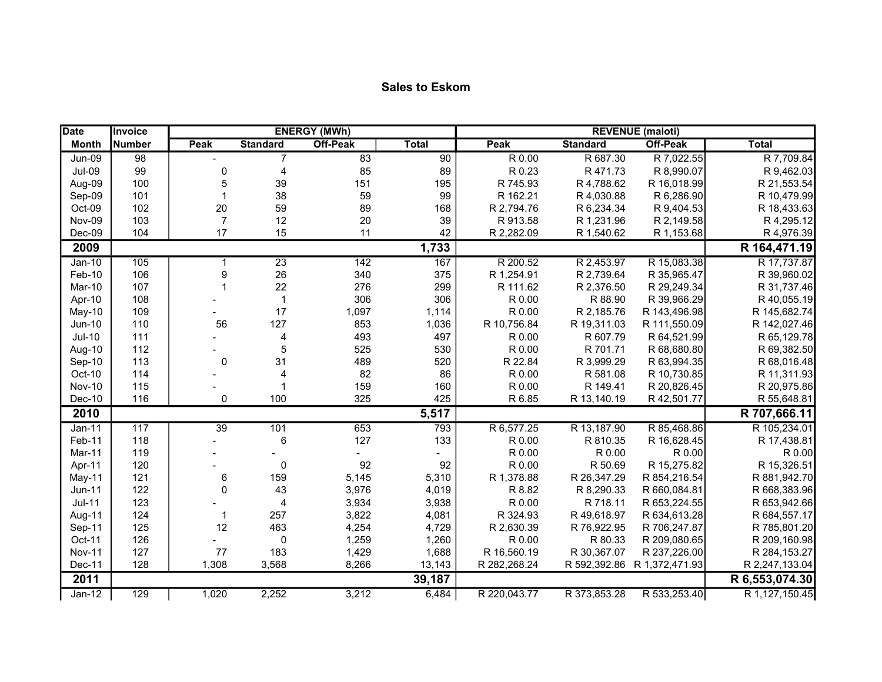| <b>Date</b>   | <b>Invoice</b> |                 |                          | <b>ENERGY (MWh)</b> |              |              |                 | <b>REVENUE</b> (maloti) |                |
|---------------|----------------|-----------------|--------------------------|---------------------|--------------|--------------|-----------------|-------------------------|----------------|
| <b>Month</b>  | Number         | Peak            | <b>Standard</b>          | <b>Off-Peak</b>     | <b>Total</b> | <b>Peak</b>  | <b>Standard</b> | <b>Off-Peak</b>         | <b>Total</b>   |
| <b>Jun-09</b> | 98             |                 | $\overline{7}$           | 83                  | 90           | R 0.00       | R 687.30        | R 7,022.55              | R 7,709.84     |
| <b>Jul-09</b> | 99             | $\mathbf 0$     | 4                        | 85                  | 89           | R 0.23       | R 471.73        | R 8,990.07              | R 9,462.03     |
| Aug-09        | 100            | 5               | 39                       | 151                 | 195          | R 745.93     | R 4,788.62      | R 16,018.99             | R 21,553.54    |
| Sep-09        | 101            | 1               | 38                       | 59                  | 99           | R 162.21     | R 4,030.88      | R 6,286.90              | R 10,479.99    |
| Oct-09        | 102            | $20\,$          | 59                       | 89                  | 168          | R 2,794.76   | R 6,234.34      | R 9,404.53              | R 18,433.63    |
| Nov-09        | 103            | $\overline{7}$  | 12                       | 20                  | 39           | R 913.58     | R 1,231.96      | R 2,149.58              | R 4,295.12     |
| $Dec-09$      | 104            | 17              | 15                       | 11                  | 42           | R 2,282.09   | R 1,540.62      | R 1,153.68              | R 4,976.39     |
| 2009          |                |                 |                          |                     | 1,733        |              |                 |                         | R 164,471.19   |
| $Jan-10$      | 105            | $\mathbf 1$     | 23                       | 142                 | 167          | R 200.52     | R 2,453.97      | R 15,083.38             | R 17,737.87    |
| Feb-10        | 106            | 9               | 26                       | 340                 | 375          | R 1,254.91   | R 2,739.64      | R 35,965.47             | R 39,960.02    |
| Mar-10        | 107            | $\mathbf 1$     | 22                       | 276                 | 299          | R 111.62     | R 2,376.50      | R 29,249.34             | R 31,737.46    |
| Apr-10        | 108            |                 | $\overline{1}$           | 306                 | 306          | R 0.00       | R 88.90         | R 39,966.29             | R 40,055.19    |
| May-10        | 109            |                 | 17                       | 1,097               | 1,114        | R 0.00       | R 2,185.76      | R 143,496.98            | R 145,682.74   |
| <b>Jun-10</b> | 110            | 56              | 127                      | 853                 | 1,036        | R 10,756.84  | R 19,311.03     | R 111,550.09            | R 142,027.46   |
| $Jul-10$      | 111            |                 | $\overline{\mathcal{L}}$ | 493                 | 497          | R 0.00       | R 607.79        | R 64,521.99             | R 65,129.78    |
| Aug-10        | 112            |                 | 5                        | 525                 | 530          | R 0.00       | R 701.71        | R 68,680.80             | R 69,382.50    |
| Sep-10        | 113            | $\mathbf 0$     | 31                       | 489                 | 520          | R 22.84      | R 3,999.29      | R 63,994.35             | R 68,016.48    |
| Oct-10        | 114            |                 | $\overline{4}$           | 82                  | 86           | R 0.00       | R 581.08        | R 10,730.85             | R 11,311.93    |
| <b>Nov-10</b> | 115            |                 | $\overline{1}$           | 159                 | 160          | R 0.00       | R 149.41        | R 20,826.45             | R 20,975.86    |
| $Dec-10$      | 116            | 0               | 100                      | 325                 | 425          | R 6.85       | R 13,140.19     | R 42,501.77             | R 55,648.81    |
| 2010          |                |                 |                          |                     | 5,517        |              |                 |                         | R 707,666.11   |
| Jan-11        | 117            | $\overline{39}$ | 101                      | 653                 | 793          | R 6,577.25   | R 13,187.90     | R 85,468.86             | R 105,234.01   |
| Feb-11        | 118            |                 | $\,6$                    | 127                 | 133          | R 0.00       | R 810.35        | R 16,628.45             | R 17,438.81    |
| Mar-11        | 119            |                 |                          |                     |              | R 0.00       | R 0.00          | R 0.00                  | R 0.00         |
| Apr-11        | 120            |                 | $\pmb{0}$                | 92                  | 92           | R 0.00       | R 50.69         | R 15,275.82             | R 15,326.51    |
| May-11        | 121            | 6               | 159                      | 5,145               | 5,310        | R 1,378.88   | R 26,347.29     | R 854,216.54            | R 881,942.70   |
| <b>Jun-11</b> | 122            | 0               | 43                       | 3,976               | 4,019        | R 8.82       | R 8,290.33      | R 660,084.81            | R 668,383.96   |
| $Jul-11$      | 123            |                 | 4                        | 3,934               | 3,938        | R 0.00       | R 718.11        | R 653,224.55            | R 653,942.66   |
| Aug-11        | 124            | $\mathbf{1}$    | 257                      | 3,822               | 4,081        | R 324.93     | R 49,618.97     | R 634,613.28            | R 684,557.17   |
| Sep-11        | 125            | 12              | 463                      | 4,254               | 4,729        | R 2,630.39   | R 76,922.95     | R 706,247.87            | R 785,801.20   |
| Oct-11        | 126            |                 | $\mathbf 0$              | 1,259               | 1,260        | R 0.00       | R 80.33         | R 209,080.65            | R 209,160.98   |
| <b>Nov-11</b> | 127            | 77              | 183                      | 1,429               | 1,688        | R 16,560.19  | R 30,367.07     | R 237,226.00            | R 284, 153.27  |
| Dec-11        | 128            | 1,308           | 3,568                    | 8,266               | 13,143       | R 282,268.24 | R 592,392.86    | R 1,372,471.93          | R 2,247,133.04 |
| 2011          |                |                 |                          |                     | 39,187       |              |                 |                         | R 6,553,074.30 |
| $Jan-12$      | 129            | 1,020           | 2,252                    | 3,212               | 6,484        | R 220,043.77 | R 373,853.28    | R 533,253.40            | R 1,127,150.45 |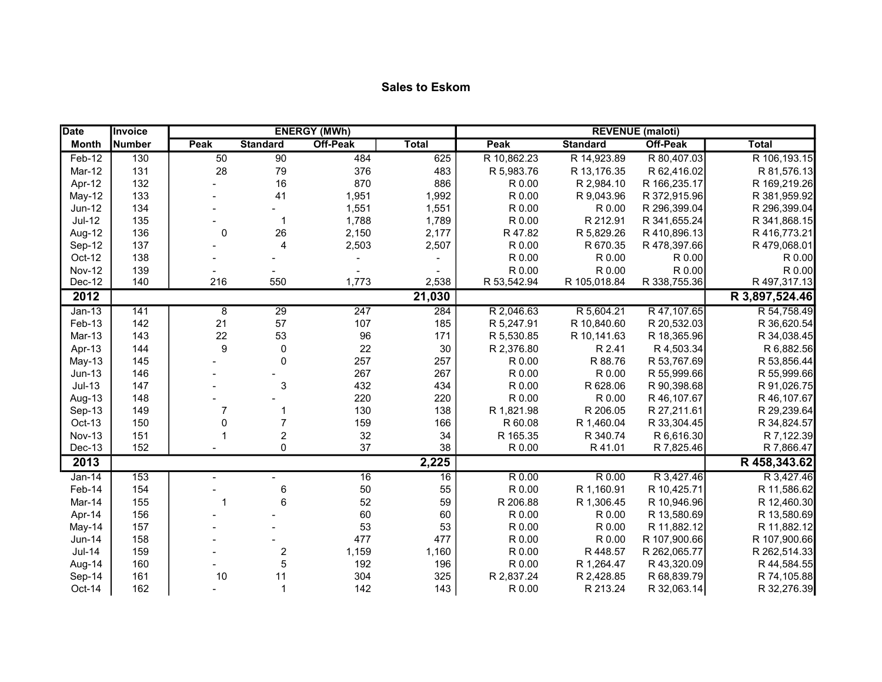| <b>Date</b>   | Invoice |                  |                          | <b>ENERGY (MWh)</b> |              |             |                 | <b>REVENUE</b> (maloti) |                |
|---------------|---------|------------------|--------------------------|---------------------|--------------|-------------|-----------------|-------------------------|----------------|
| <b>Month</b>  | Number  | <b>Peak</b>      | <b>Standard</b>          | <b>Off-Peak</b>     | <b>Total</b> | <b>Peak</b> | <b>Standard</b> | <b>Off-Peak</b>         | <b>Total</b>   |
| Feb-12        | 130     | 50               | 90                       | 484                 | 625          | R 10,862.23 | R 14,923.89     | R 80,407.03             | R 106,193.15   |
| Mar-12        | 131     | 28               | 79                       | 376                 | 483          | R 5,983.76  | R 13,176.35     | R 62,416.02             | R 81,576.13    |
| Apr-12        | 132     |                  | 16                       | 870                 | 886          | R 0.00      | R 2,984.10      | R 166,235.17            | R 169,219.26   |
| May-12        | 133     |                  | 41                       | 1,951               | 1,992        | R 0.00      | R 9,043.96      | R 372,915.96            | R 381,959.92   |
| Jun-12        | 134     |                  | $\overline{\phantom{a}}$ | 1,551               | 1,551        | R 0.00      | R 0.00          | R 296,399.04            | R 296,399.04   |
| <b>Jul-12</b> | 135     |                  | $\mathbf{1}$             | 1,788               | 1,789        | R 0.00      | R 212.91        | R 341,655.24            | R 341,868.15   |
| Aug-12        | 136     | $\mathbf 0$      | 26                       | 2,150               | 2,177        | R 47.82     | R 5,829.26      | R 410,896.13            | R 416,773.21   |
| Sep-12        | 137     |                  | 4                        | 2,503               | 2,507        | R 0.00      | R 670.35        | R 478,397.66            | R479,068.01    |
| Oct-12        | 138     |                  |                          |                     |              | R 0.00      | R 0.00          | R 0.00                  | R 0.00         |
| <b>Nov-12</b> | 139     |                  |                          |                     |              | R 0.00      | R 0.00          | R 0.00                  | R 0.00         |
| Dec-12        | 140     | 216              | 550                      | 1,773               | 2,538        | R 53,542.94 | R 105,018.84    | R 338,755.36            | R 497,317.13   |
| 2012          |         |                  |                          |                     | 21,030       |             |                 |                         | R 3,897,524.46 |
| $Jan-13$      | 141     | 8                | $\overline{29}$          | $\overline{247}$    | 284          | R 2,046.63  | R 5,604.21      | R 47,107.65             | R 54,758.49    |
| Feb-13        | 142     | 21               | 57                       | 107                 | 185          | R 5,247.91  | R 10,840.60     | R 20,532.03             | R 36,620.54    |
| Mar-13        | 143     | 22               | 53                       | 96                  | 171          | R 5,530.85  | R 10,141.63     | R 18,365.96             | R 34,038.45    |
| Apr-13        | 144     | $\boldsymbol{9}$ | 0                        | 22                  | 30           | R 2,376.80  | R 2.41          | R 4,503.34              | R 6,882.56     |
| May-13        | 145     |                  | $\mathbf 0$              | 257                 | 257          | R 0.00      | R 88.76         | R 53,767.69             | R 53,856.44    |
| $Jun-13$      | 146     |                  |                          | 267                 | 267          | R 0.00      | R 0.00          | R 55,999.66             | R 55,999.66    |
| $Jul-13$      | 147     |                  | 3                        | 432                 | 434          | R 0.00      | R 628.06        | R 90,398.68             | R 91,026.75    |
| Aug-13        | 148     |                  |                          | 220                 | 220          | R 0.00      | R 0.00          | R 46, 107.67            | R 46,107.67    |
| Sep-13        | 149     | $\overline{7}$   | $\mathbf 1$              | 130                 | 138          | R 1,821.98  | R 206.05        | R 27,211.61             | R 29,239.64    |
| Oct-13        | 150     | $\Omega$         | $\overline{7}$           | 159                 | 166          | R 60.08     | R 1,460.04      | R 33,304.45             | R 34,824.57    |
| <b>Nov-13</b> | 151     |                  | $\overline{c}$           | 32                  | 34           | R 165.35    | R 340.74        | R 6,616.30              | R 7,122.39     |
| <b>Dec-13</b> | 152     |                  | 0                        | 37                  | 38           | R 0.00      | R41.01          | R 7,825.46              | R 7,866.47     |
| 2013          |         |                  |                          |                     | 2,225        |             |                 |                         | R 458,343.62   |
| $Jan-14$      | 153     |                  |                          | 16                  | 16           | R 0.00      | R 0.00          | R 3,427.46              | R 3,427.46     |
| Feb-14        | 154     |                  | $\,6$                    | 50                  | 55           | R 0.00      | R 1,160.91      | R 10,425.71             | R 11,586.62    |
| Mar-14        | 155     | -1               | $6\phantom{1}6$          | 52                  | 59           | R 206.88    | R 1,306.45      | R 10,946.96             | R 12,460.30    |
| Apr-14        | 156     |                  |                          | 60                  | 60           | R 0.00      | R 0.00          | R 13,580.69             | R 13,580.69    |
| May-14        | 157     |                  |                          | 53                  | 53           | R 0.00      | R 0.00          | R 11,882.12             | R 11,882.12    |
| Jun-14        | 158     |                  |                          | 477                 | 477          | R 0.00      | R 0.00          | R 107,900.66            | R 107,900.66   |
| <b>Jul-14</b> | 159     |                  | $\boldsymbol{2}$         | 1,159               | 1,160        | R 0.00      | R 448.57        | R 262,065.77            | R 262,514.33   |
| Aug-14        | 160     |                  | 5                        | 192                 | 196          | R 0.00      | R 1,264.47      | R 43,320.09             | R 44,584.55    |
| Sep-14        | 161     | 10               | 11                       | 304                 | 325          | R 2,837.24  | R 2,428.85      | R 68,839.79             | R 74,105.88    |
| Oct-14        | 162     |                  | $\mathbf{1}$             | 142                 | 143          | R 0.00      | R 213.24        | R 32,063.14             | R 32,276.39    |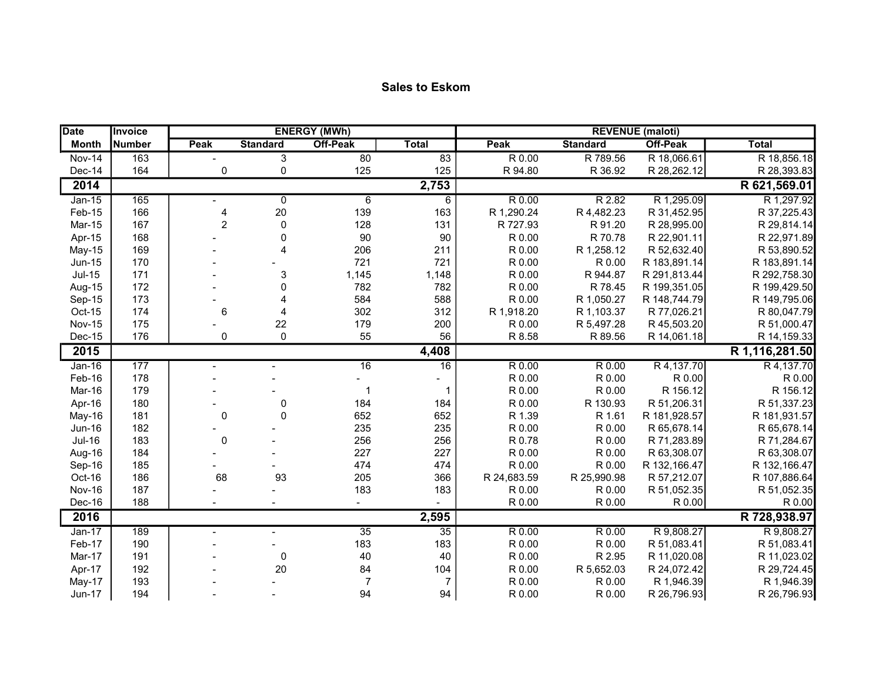| <b>Sales to Eskom</b> |  |  |
|-----------------------|--|--|
|-----------------------|--|--|

| <b>Date</b>   | Invoice       |                |                           | <b>ENERGY (MWh)</b> |                 |                     |                 | <b>REVENUE</b> (maloti) |                |
|---------------|---------------|----------------|---------------------------|---------------------|-----------------|---------------------|-----------------|-------------------------|----------------|
| <b>Month</b>  | <b>Number</b> | Peak           | <b>Standard</b>           | <b>Off-Peak</b>     | <b>Total</b>    | Peak                | <b>Standard</b> | <b>Off-Peak</b>         | <b>Total</b>   |
| <b>Nov-14</b> | 163           |                | $\overline{3}$            | $\overline{80}$     | 83              | $\overline{R}$ 0.00 | R 789.56        | R 18,066.61             | R 18,856.18    |
| Dec-14        | 164           | 0              | $\mathbf 0$               | 125                 | 125             | R 94.80             | R 36.92         | R 28,262.12             | R 28,393.83    |
| 2014          |               |                |                           |                     | 2,753           |                     |                 |                         | R 621,569.01   |
| $Jan-15$      | 165           |                | $\overline{0}$            | $6\phantom{1}6$     | 6               | R 0.00              | R 2.82          | R 1,295.09              | R 1,297.92     |
| Feb-15        | 166           | 4              | 20                        | 139                 | 163             | R 1,290.24          | R 4,482.23      | R 31,452.95             | R 37,225.43    |
| Mar-15        | 167           | $\overline{c}$ | $\pmb{0}$                 | 128                 | 131             | R 727.93            | R 91.20         | R 28,995.00             | R 29,814.14    |
| Apr-15        | 168           |                | $\pmb{0}$                 | 90                  | 90              | R 0.00              | R 70.78         | R 22,901.11             | R 22,971.89    |
| <b>May-15</b> | 169           |                | $\overline{\mathbf{4}}$   | 206                 | 211             | R 0.00              | R 1,258.12      | R 52,632.40             | R 53,890.52    |
| <b>Jun-15</b> | 170           |                |                           | 721                 | 721             | R 0.00              | R 0.00          | R 183,891.14            | R 183,891.14   |
| $Jul-15$      | 171           |                | $\ensuremath{\mathsf{3}}$ | 1,145               | 1,148           | R 0.00              | R 944.87        | R 291,813.44            | R 292,758.30   |
| Aug-15        | 172           |                | $\pmb{0}$                 | 782                 | 782             | R 0.00              | R 78.45         | R 199,351.05            | R 199,429.50   |
| Sep-15        | 173           |                | 4                         | 584                 | 588             | R 0.00              | R 1,050.27      | R 148,744.79            | R 149,795.06   |
| Oct-15        | 174           | 6              | $\overline{4}$            | 302                 | 312             | R 1,918.20          | R 1,103.37      | R 77,026.21             | R 80,047.79    |
| <b>Nov-15</b> | 175           |                | 22                        | 179                 | 200             | R 0.00              | R 5,497.28      | R 45,503.20             | R 51,000.47    |
| Dec-15        | 176           | 0              | $\mathbf 0$               | 55                  | 56              | R 8.58              | R 89.56         | R 14,061.18             | R 14,159.33    |
| 2015          |               |                |                           |                     | 4,408           |                     |                 |                         | R 1,116,281.50 |
| $Jan-16$      | 177           |                | $\overline{\phantom{0}}$  | $\overline{16}$     | $\overline{16}$ | R 0.00              | R 0.00          | R 4, 137.70             | R 4,137.70     |
| Feb-16        | 178           |                |                           |                     |                 | R 0.00              | R 0.00          | R 0.00                  | R 0.00         |
| Mar-16        | 179           |                |                           | 1                   | -1              | R 0.00              | R 0.00          | R 156.12                | R 156.12       |
| Apr-16        | 180           |                | $\pmb{0}$                 | 184                 | 184             | R 0.00              | R 130.93        | R 51,206.31             | R 51,337.23    |
| May-16        | 181           | 0              | $\mathbf 0$               | 652                 | 652             | R 1.39              | R 1.61          | R 181,928.57            | R 181,931.57   |
| <b>Jun-16</b> | 182           |                |                           | 235                 | 235             | R 0.00              | R 0.00          | R 65,678.14             | R 65,678.14    |
| <b>Jul-16</b> | 183           | $\mathbf 0$    |                           | 256                 | 256             | R 0.78              | R 0.00          | R 71,283.89             | R 71,284.67    |
| Aug-16        | 184           |                |                           | 227                 | 227             | R 0.00              | R 0.00          | R 63,308.07             | R 63,308.07    |
| Sep-16        | 185           |                |                           | 474                 | 474             | R 0.00              | R 0.00          | R 132,166.47            | R 132,166.47   |
| Oct-16        | 186           | 68             | 93                        | 205                 | 366             | R 24,683.59         | R 25,990.98     | R 57,212.07             | R 107,886.64   |
| <b>Nov-16</b> | 187           |                |                           | 183                 | 183             | R 0.00              | R 0.00          | R 51,052.35             | R 51,052.35    |
| Dec-16        | 188           |                |                           |                     |                 | R 0.00              | R 0.00          | R 0.00                  | R 0.00         |
| 2016          |               |                |                           |                     | 2,595           |                     |                 |                         | R 728,938.97   |
| $Jan-17$      | 189           |                |                           | $\overline{35}$     | $\overline{35}$ | R 0.00              | R 0.00          | R 9,808.27              | R 9,808.27     |
| Feb-17        | 190           |                |                           | 183                 | 183             | R 0.00              | R 0.00          | R 51,083.41             | R 51,083.41    |
| Mar-17        | 191           |                | $\pmb{0}$                 | 40                  | 40              | R 0.00              | R 2.95          | R 11,020.08             | R 11,023.02    |
| Apr-17        | 192           |                | 20                        | 84                  | 104             | R 0.00              | R 5,652.03      | R 24,072.42             | R 29,724.45    |
| May-17        | 193           |                |                           | $\overline{7}$      | $\overline{7}$  | R 0.00              | R 0.00          | R 1,946.39              | R 1,946.39     |
| <b>Jun-17</b> | 194           |                |                           | 94                  | 94              | R 0.00              | R 0.00          | R 26,796.93             | R 26,796.93    |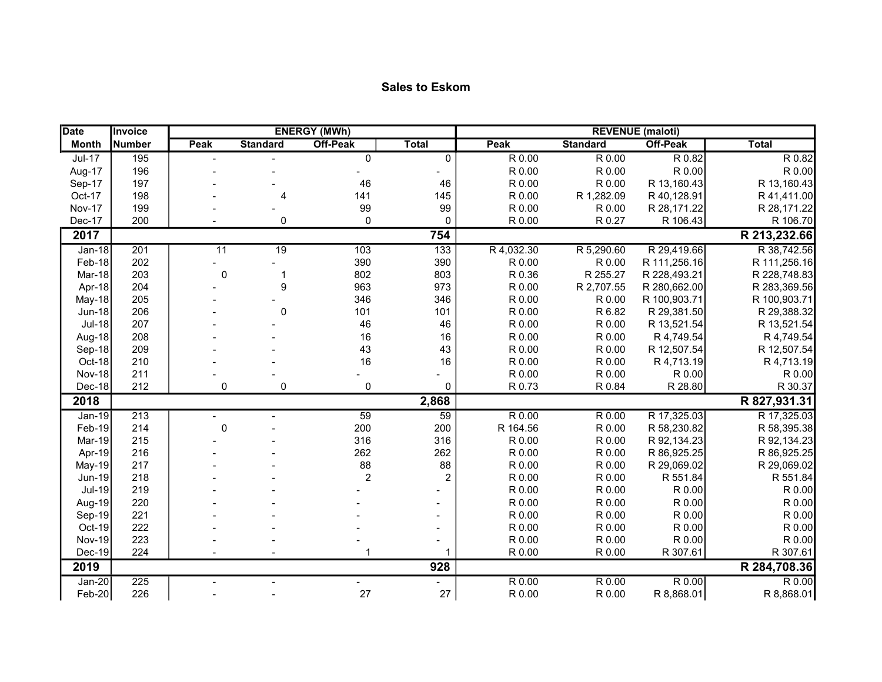| <b>Sales to Eskom</b> |  |  |  |
|-----------------------|--|--|--|
|-----------------------|--|--|--|

| <b>Date</b>   | Invoice          |                 |                 | <b>ENERGY (MWh)</b> |                |            |                     | <b>REVENUE</b> (maloti) |              |
|---------------|------------------|-----------------|-----------------|---------------------|----------------|------------|---------------------|-------------------------|--------------|
| <b>Month</b>  | <b>Number</b>    | Peak            | <b>Standard</b> | <b>Off-Peak</b>     | <b>Total</b>   | Peak       | <b>Standard</b>     | <b>Off-Peak</b>         | <b>Total</b> |
| $Jul-17$      | 195              |                 |                 | $\pmb{0}$           | $\overline{0}$ | R 0.00     | $\overline{R}$ 0.00 | R 0.82                  | R 0.82       |
| Aug-17        | 196              |                 |                 |                     |                | R 0.00     | R 0.00              | R 0.00                  | R 0.00       |
| Sep-17        | 197              |                 |                 | 46                  | 46             | R 0.00     | R 0.00              | R 13,160.43             | R 13,160.43  |
| Oct-17        | 198              |                 | 4               | 141                 | 145            | R 0.00     | R 1,282.09          | R 40,128.91             | R 41,411.00  |
| <b>Nov-17</b> | 199              |                 |                 | 99                  | 99             | R 0.00     | R 0.00              | R 28,171.22             | R 28,171.22  |
| Dec-17        | 200              |                 | 0               | $\mathbf 0$         | $\Omega$       | R 0.00     | R 0.27              | R 106.43                | R 106.70     |
| 2017          |                  |                 |                 |                     | 754            |            |                     |                         | R 213,232.66 |
| $Jan-18$      | 201              | $\overline{11}$ | $\overline{19}$ | 103                 | 133            | R 4,032.30 | R 5,290.60          | R 29,419.66             | R 38,742.56  |
| Feb-18        | 202              |                 |                 | 390                 | 390            | R 0.00     | R 0.00              | R 111,256.16            | R 111,256.16 |
| Mar-18        | 203              | $\mathbf 0$     | $\mathbf 1$     | 802                 | 803            | R 0.36     | R 255.27            | R 228,493.21            | R 228,748.83 |
| Apr-18        | 204              |                 | 9               | 963                 | 973            | R 0.00     | R 2,707.55          | R 280,662.00            | R 283,369.56 |
| May-18        | 205              |                 |                 | 346                 | 346            | R 0.00     | R 0.00              | R 100,903.71            | R 100,903.71 |
| <b>Jun-18</b> | 206              |                 | $\mathbf 0$     | 101                 | 101            | R 0.00     | R 6.82              | R 29,381.50             | R 29,388.32  |
| <b>Jul-18</b> | 207              |                 |                 | 46                  | 46             | R 0.00     | R 0.00              | R 13,521.54             | R 13,521.54  |
| Aug-18        | 208              |                 |                 | 16                  | 16             | R 0.00     | R 0.00              | R 4,749.54              | R 4,749.54   |
| Sep-18        | 209              |                 |                 | 43                  | 43             | R 0.00     | R 0.00              | R 12,507.54             | R 12,507.54  |
| Oct-18        | 210              |                 |                 | 16                  | 16             | R 0.00     | R 0.00              | R 4,713.19              | R 4,713.19   |
| <b>Nov-18</b> | 211              |                 |                 |                     |                | R 0.00     | R 0.00              | R 0.00                  | R 0.00       |
| Dec-18        | 212              | 0               | 0               | $\pmb{0}$           | $\mathbf 0$    | R 0.73     | R 0.84              | R 28.80                 | R 30.37      |
| 2018          |                  |                 |                 |                     | 2,868          |            |                     |                         | R 827,931.31 |
| $Jan-19$      | 213              |                 |                 | 59                  | 59             | R 0.00     | R 0.00              | R 17,325.03             | R 17,325.03  |
| Feb-19        | 214              | $\mathbf 0$     |                 | 200                 | 200            | R 164.56   | R 0.00              | R 58,230.82             | R 58,395.38  |
| Mar-19        | 215              |                 |                 | 316                 | 316            | R 0.00     | R 0.00              | R 92,134.23             | R 92,134.23  |
| Apr-19        | 216              |                 |                 | 262                 | 262            | R 0.00     | R 0.00              | R 86,925.25             | R 86,925.25  |
| May-19        | 217              |                 |                 | 88                  | 88             | R 0.00     | R 0.00              | R 29,069.02             | R 29,069.02  |
| <b>Jun-19</b> | 218              |                 |                 | $\boldsymbol{2}$    | $\overline{c}$ | R 0.00     | R 0.00              | R 551.84                | R 551.84     |
| <b>Jul-19</b> | 219              |                 |                 |                     |                | R 0.00     | R 0.00              | R 0.00                  | R 0.00       |
| Aug-19        | 220              |                 |                 |                     |                | R 0.00     | R 0.00              | R 0.00                  | R 0.00       |
| Sep-19        | 221              |                 |                 |                     |                | R 0.00     | R 0.00              | R 0.00                  | R 0.00       |
| Oct-19        | 222              |                 |                 |                     |                | R 0.00     | R 0.00              | R 0.00                  | R 0.00       |
| <b>Nov-19</b> | 223              |                 |                 |                     |                | R 0.00     | R 0.00              | R 0.00                  | R 0.00       |
| Dec-19        | 224              |                 |                 |                     |                | R 0.00     | R 0.00              | R 307.61                | R 307.61     |
| 2019          |                  |                 |                 |                     | 928            |            |                     |                         | R 284,708.36 |
| $Jan-20$      | $\overline{225}$ |                 |                 |                     |                | R 0.00     | R 0.00              | R 0.00                  | R 0.00       |
| Feb-20        | 226              |                 |                 | 27                  | 27             | R 0.00     | R 0.00              | R 8,868.01              | R 8,868.01   |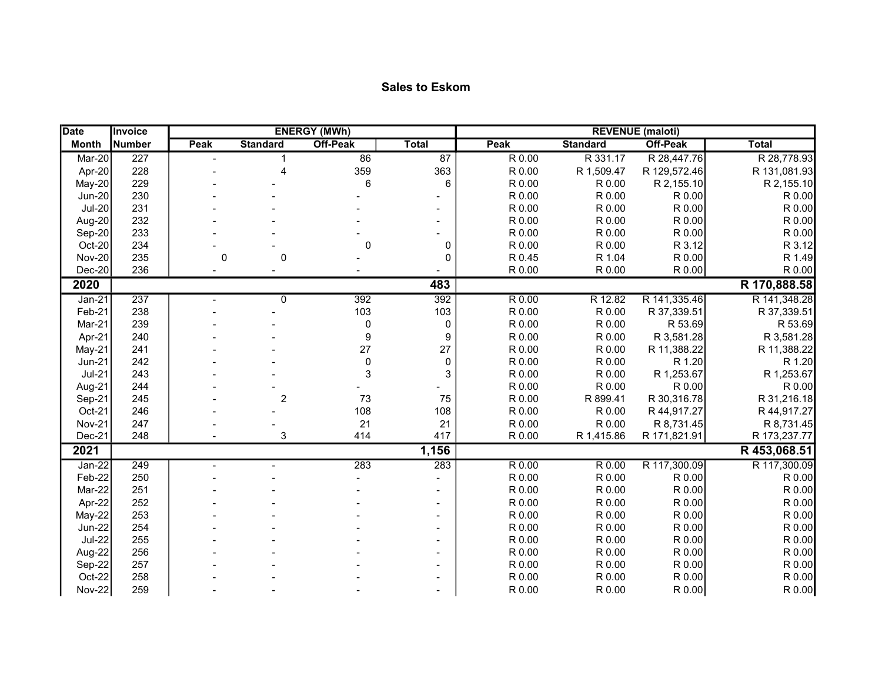| <b>Date</b>   | Invoice |      |                 | <b>ENERGY (MWh)</b> |                 | <b>REVENUE</b> (maloti) |                     |              |              |  |  |
|---------------|---------|------|-----------------|---------------------|-----------------|-------------------------|---------------------|--------------|--------------|--|--|
| <b>Month</b>  | Number  | Peak | <b>Standard</b> | Off-Peak            | <b>Total</b>    | Peak                    | <b>Standard</b>     | Off-Peak     | <b>Total</b> |  |  |
| Mar-20        | 227     |      | $\mathbf 1$     | 86                  | $\overline{87}$ | R 0.00                  | R 331.17            | R 28,447.76  | R 28,778.93  |  |  |
| Apr-20        | 228     |      | $\overline{A}$  | 359                 | 363             | R 0.00                  | R 1,509.47          | R 129,572.46 | R 131,081.93 |  |  |
| May-20        | 229     |      |                 | 6                   | 6               | R 0.00                  | R 0.00              | R 2,155.10   | R 2,155.10   |  |  |
| <b>Jun-20</b> | 230     |      |                 |                     |                 | R 0.00                  | R 0.00              | R 0.00       | R 0.00       |  |  |
| <b>Jul-20</b> | 231     |      |                 |                     |                 | R 0.00                  | R 0.00              | R 0.00       | R 0.00       |  |  |
| Aug-20        | 232     |      |                 |                     |                 | R 0.00                  | R 0.00              | R 0.00       | R 0.00       |  |  |
| Sep-20        | 233     |      |                 |                     |                 | R 0.00                  | R 0.00              | R 0.00       | R 0.00       |  |  |
| Oct-20        | 234     |      |                 | $\mathbf 0$         | 0               | R 0.00                  | R 0.00              | R 3.12       | R 3.12       |  |  |
| <b>Nov-20</b> | 235     | 0    | $\mathbf 0$     |                     | 0               | R 0.45                  | R 1.04              | R 0.00       | R 1.49       |  |  |
| $Dec-20$      | 236     |      |                 |                     |                 | R 0.00                  | R 0.00              | R 0.00       | R 0.00       |  |  |
| 2020          |         |      |                 |                     | 483             |                         |                     |              | R 170,888.58 |  |  |
| $Jan-21$      | 237     |      | $\mathbf{0}$    | 392                 | 392             | R 0.00                  | R 12.82             | R 141,335.46 | R 141,348.28 |  |  |
| Feb-21        | 238     |      |                 | 103                 | 103             | R 0.00                  | R 0.00              | R 37,339.51  | R 37,339.51  |  |  |
| Mar-21        | 239     |      |                 | 0                   | $\pmb{0}$       | R 0.00                  | R 0.00              | R 53.69      | R 53.69      |  |  |
| Apr-21        | 240     |      |                 | 9                   | 9               | R 0.00                  | R 0.00              | R 3,581.28   | R 3,581.28   |  |  |
| $May-21$      | 241     |      |                 | 27                  | 27              | R 0.00                  | R 0.00              | R 11,388.22  | R 11,388.22  |  |  |
| $Jun-21$      | 242     |      |                 | 0                   | $\mathbf 0$     | R 0.00                  | R 0.00              | R 1.20       | R 1.20       |  |  |
| $Jul-21$      | 243     |      |                 | 3                   | 3               | R 0.00                  | R 0.00              | R 1,253.67   | R 1,253.67   |  |  |
| Aug-21        | 244     |      |                 |                     |                 | R 0.00                  | R 0.00              | R 0.00       | R 0.00       |  |  |
| Sep-21        | 245     |      | $\overline{2}$  | 73                  | 75              | R 0.00                  | R 899.41            | R 30,316.78  | R 31,216.18  |  |  |
| Oct-21        | 246     |      |                 | 108                 | 108             | R 0.00                  | R 0.00              | R 44,917.27  | R 44,917.27  |  |  |
| <b>Nov-21</b> | 247     |      |                 | 21                  | 21              | R 0.00                  | R 0.00              | R 8,731.45   | R 8,731.45   |  |  |
| Dec-21        | 248     |      | 3               | 414                 | 417             | R 0.00                  | R 1,415.86          | R 171,821.91 | R 173,237.77 |  |  |
| 2021          |         |      |                 |                     | 1,156           |                         |                     |              | R 453,068.51 |  |  |
| $Jan-22$      | 249     |      |                 | 283                 | 283             | R 0.00                  | $\overline{R}$ 0.00 | R 117,300.09 | R 117,300.09 |  |  |
| Feb-22        | 250     |      |                 |                     |                 | R 0.00                  | R 0.00              | R 0.00       | R 0.00       |  |  |
| Mar-22        | 251     |      |                 |                     |                 | R 0.00                  | R 0.00              | R 0.00       | R 0.00       |  |  |
| Apr-22        | 252     |      |                 |                     |                 | R 0.00                  | R 0.00              | R 0.00       | R 0.00       |  |  |
| May-22        | 253     |      |                 |                     |                 | R 0.00                  | R 0.00              | R 0.00       | R 0.00       |  |  |
| <b>Jun-22</b> | 254     |      |                 |                     |                 | R 0.00                  | R 0.00              | R 0.00       | R 0.00       |  |  |
| <b>Jul-22</b> | 255     |      |                 |                     |                 | R 0.00                  | R 0.00              | R 0.00       | R 0.00       |  |  |
| Aug-22        | 256     |      |                 |                     |                 | R 0.00                  | R 0.00              | R 0.00       | R 0.00       |  |  |
| Sep-22        | 257     |      |                 |                     |                 | R 0.00                  | R 0.00              | R 0.00       | R 0.00       |  |  |
| Oct-22        | 258     |      |                 |                     |                 | R 0.00                  | R 0.00              | R 0.00       | R 0.00       |  |  |
| <b>Nov-22</b> | 259     |      |                 |                     |                 | R 0.00                  | R 0.00              | R 0.00       | R 0.00       |  |  |